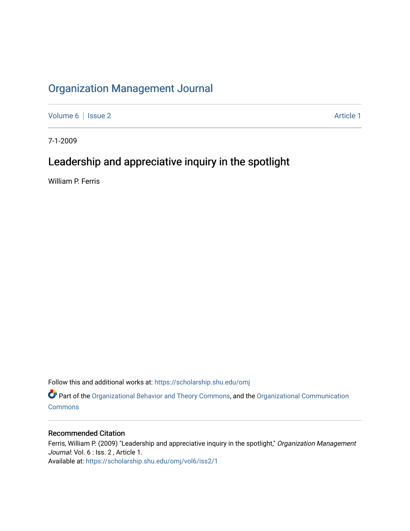## [Organization Management Journal](https://scholarship.shu.edu/omj)

[Volume 6](https://scholarship.shu.edu/omj/vol6) | [Issue 2](https://scholarship.shu.edu/omj/vol6/iss2) Article 1

7-1-2009

## Leadership and appreciative inquiry in the spotlight

William P. Ferris

Follow this and additional works at: [https://scholarship.shu.edu/omj](https://scholarship.shu.edu/omj?utm_source=scholarship.shu.edu%2Fomj%2Fvol6%2Fiss2%2F1&utm_medium=PDF&utm_campaign=PDFCoverPages) 

Part of the [Organizational Behavior and Theory Commons,](http://network.bepress.com/hgg/discipline/639?utm_source=scholarship.shu.edu%2Fomj%2Fvol6%2Fiss2%2F1&utm_medium=PDF&utm_campaign=PDFCoverPages) and the [Organizational Communication](http://network.bepress.com/hgg/discipline/335?utm_source=scholarship.shu.edu%2Fomj%2Fvol6%2Fiss2%2F1&utm_medium=PDF&utm_campaign=PDFCoverPages) **[Commons](http://network.bepress.com/hgg/discipline/335?utm_source=scholarship.shu.edu%2Fomj%2Fvol6%2Fiss2%2F1&utm_medium=PDF&utm_campaign=PDFCoverPages)** 

### Recommended Citation

Ferris, William P. (2009) "Leadership and appreciative inquiry in the spotlight," Organization Management Journal: Vol. 6 : Iss. 2, Article 1. Available at: [https://scholarship.shu.edu/omj/vol6/iss2/1](https://scholarship.shu.edu/omj/vol6/iss2/1?utm_source=scholarship.shu.edu%2Fomj%2Fvol6%2Fiss2%2F1&utm_medium=PDF&utm_campaign=PDFCoverPages)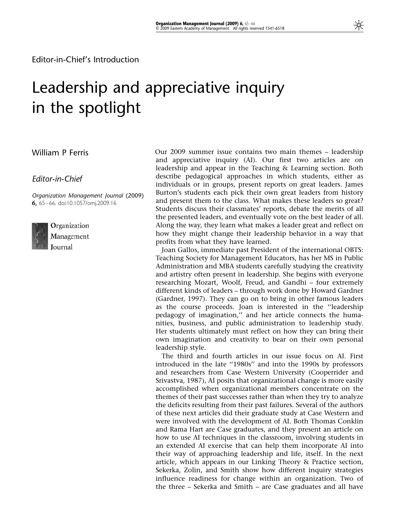# Leadership and appreciative inquiry in the spotlight

### William P Ferris

### Editor-in-Chief

Organization Management Journal (2009) 6, 65–66. doi:10.1057/omj.2009.16

Organization

Management Journal

Our 2009 summer issue contains two main themes – leadership and appreciative inquiry (AI). Our first two articles are on leadership and appear in the Teaching & Learning section. Both describe pedagogical approaches in which students, either as individuals or in groups, present reports on great leaders. James Burton's students each pick their own great leaders from history and present them to the class. What makes these leaders so great? Students discuss their classmates' reports, debate the merits of all the presented leaders, and eventually vote on the best leader of all. Along the way, they learn what makes a leader great and reflect on how they might change their leadership behavior in a way that profits from what they have learned.

Joan Gallos, immediate past President of the international OBTS: Teaching Society for Management Educators, has her MS in Public Administration and MBA students carefully studying the creativity and artistry often present in leadership. She begins with everyone researching Mozart, Woolf, Freud, and Gandhi – four extremely different kinds of leaders – through work done by Howard Gardner (Gardner, 1997). They can go on to bring in other famous leaders as the course proceeds. Joan is interested in the ''leadership pedagogy of imagination,'' and her article connects the humanities, business, and public administration to leadership study. Her students ultimately must reflect on how they can bring their own imagination and creativity to bear on their own personal leadership style.

The third and fourth articles in our issue focus on AI. First introduced in the late ''1980s'' and into the 1990s by professors and researchers from Case Western University (Cooperrider and Srivastva, 1987), AI posits that organizational change is more easily accomplished when organizational members concentrate on the themes of their past successes rather than when they try to analyze the deficits resulting from their past failures. Several of the authors of these next articles did their graduate study at Case Western and were involved with the development of AI. Both Thomas Conklin and Rama Hart are Case graduates, and they present an article on how to use AI techniques in the classroom, involving students in an extended AI exercise that can help them incorporate AI into their way of approaching leadership and life, itself. In the next article, which appears in our Linking Theory & Practice section, Sekerka, Zolin, and Smith show how different inquiry strategies influence readiness for change within an organization. Two of the three – Sekerka and Smith – are Case graduates and all have

⋇